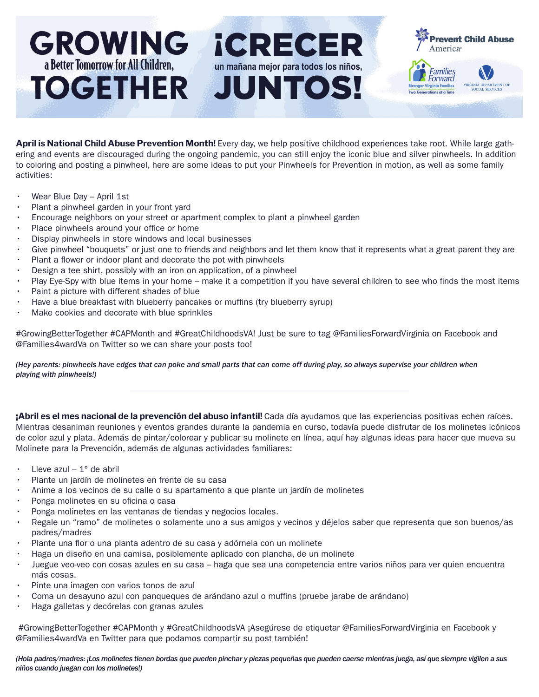## **GROWING** *iCRECER* **revent Child Abuse** America® a Better Tomorrow for All Children. **un mañana mejor para todos los niños,**  Families TOGETHER JUNTOS! Forward A DEPARTMENT OF tions at a Time

**April is National Child Abuse Prevention Month!** Every day, we help positive childhood experiences take root. While large gathering and events are discouraged during the ongoing pandemic, you can still enjoy the iconic blue and silver pinwheels. In addition to coloring and posting a pinwheel, here are some ideas to put your Pinwheels for Prevention in motion, as well as some family activities:

- Wear Blue Day April 1st
- Plant a pinwheel garden in your front yard
- Encourage neighbors on your street or apartment complex to plant a pinwheel garden
- Place pinwheels around your office or home
- Display pinwheels in store windows and local businesses
- Give pinwheel "bouquets" or just one to friends and neighbors and let them know that it represents what a great parent they are
- Plant a flower or indoor plant and decorate the pot with pinwheels
- Design a tee shirt, possibly with an iron on application, of a pinwheel
- Play Eye-Spy with blue items in your home make it a competition if you have several children to see who finds the most items
- Paint a picture with different shades of blue
- Have a blue breakfast with blueberry pancakes or muffins (try blueberry syrup)
- Make cookies and decorate with blue sprinkles

#GrowingBetterTogether #CAPMonth and #GreatChildhoodsVA! Just be sure to tag @FamiliesForwardVirginia on Facebook and @Families4wardVa on Twitter so we can share your posts too!

*(Hey parents: pinwheels have edges that can poke and small parts that can come off during play, so always supervise your children when playing with pinwheels!)*

**¡Abril es el mes nacional de la prevención del abuso infantil!** Cada día ayudamos que las experiencias positivas echen raíces. Mientras desaniman reuniones y eventos grandes durante la pandemia en curso, todavía puede disfrutar de los molinetes icónicos de color azul y plata. Además de pintar/colorear y publicar su molinete en línea, aquí hay algunas ideas para hacer que mueva su Molinete para la Prevención, además de algunas actividades familiares:

- Lleve azul  $-1^\circ$  de abril
- Plante un jardín de molinetes en frente de su casa
- Anime a los vecinos de su calle o su apartamento a que plante un jardín de molinetes
- Ponga molinetes en su oficina o casa
- Ponga molinetes en las ventanas de tiendas y negocios locales.
- Regale un "ramo" de molinetes o solamente uno a sus amigos y vecinos y déjelos saber que representa que son buenos/as padres/madres
- Plante una flor o una planta adentro de su casa y adórnela con un molinete
- Haga un diseño en una camisa, posiblemente aplicado con plancha, de un molinete
- Juegue veo-veo con cosas azules en su casa haga que sea una competencia entre varios niños para ver quien encuentra más cosas.
- Pinte una imagen con varios tonos de azul
- Coma un desayuno azul con panqueques de arándano azul o muffins (pruebe jarabe de arándano)
- Haga galletas y decórelas con granas azules

 #GrowingBetterTogether #CAPMonth y #GreatChildhoodsVA ¡Asegúrese de etiquetar @FamiliesForwardVirginia en Facebook y @Families4wardVa en Twitter para que podamos compartir su post también!

*(Hola padres/madres: ¡Los molinetes tienen bordas que pueden pinchar y piezas pequeñas que pueden caerse mientras juega, así que siempre vigilen a sus niños cuando juegan con los molinetes!)*